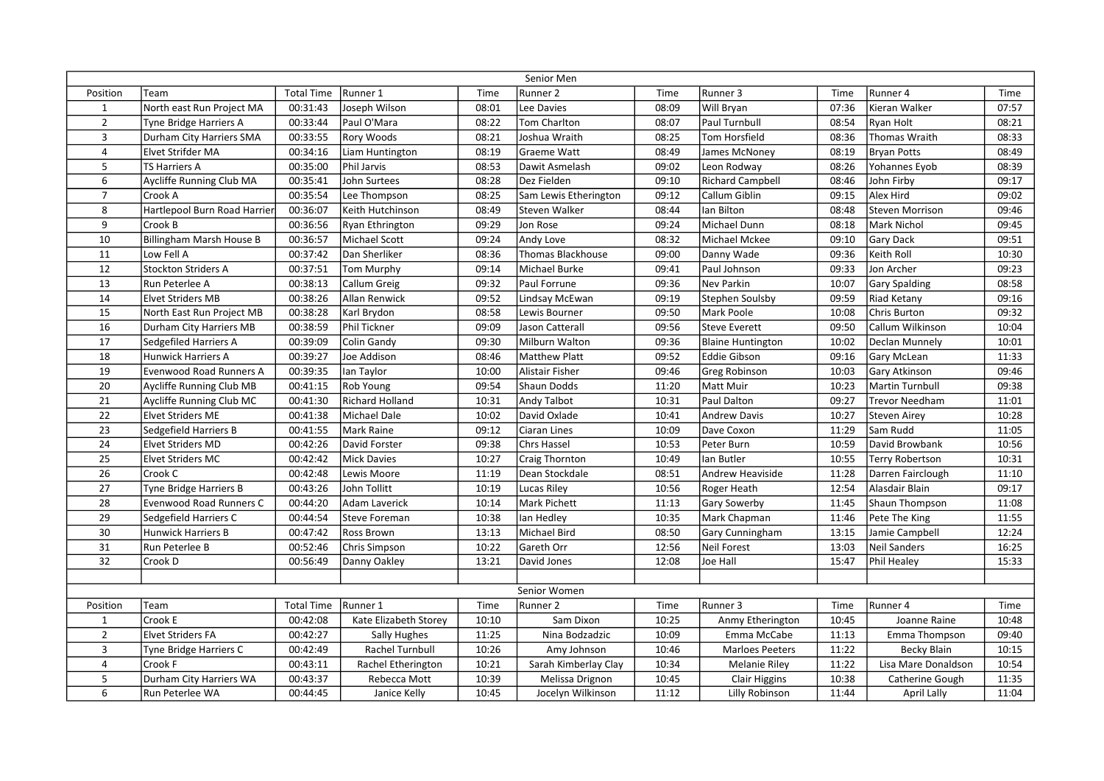|                |                              |                   |                        |       | Senior Men            |       |                          |       |                        |       |
|----------------|------------------------------|-------------------|------------------------|-------|-----------------------|-------|--------------------------|-------|------------------------|-------|
| Position       | Team                         | <b>Total Time</b> | Runner 1               | Time  | Runner 2              | Time  | Runner 3                 | Time  | Runner 4               | Time  |
| $\mathbf{1}$   | North east Run Project MA    | 00:31:43          | Joseph Wilson          | 08:01 | Lee Davies            | 08:09 | Will Bryan               | 07:36 | Kieran Walker          | 07:57 |
| $\overline{2}$ | Tyne Bridge Harriers A       | 00:33:44          | Paul O'Mara            | 08:22 | <b>Tom Charlton</b>   | 08:07 | Paul Turnbull            | 08:54 | Ryan Holt              | 08:21 |
| $\overline{3}$ | Durham City Harriers SMA     | 00:33:55          | Rory Woods             | 08:21 | Joshua Wraith         | 08:25 | Tom Horsfield            | 08:36 | Thomas Wraith          | 08:33 |
| $\overline{4}$ | Elvet Strifder MA            | 00:34:16          | Liam Huntington        | 08:19 | Graeme Watt           | 08:49 | James McNoney            | 08:19 | <b>Bryan Potts</b>     | 08:49 |
| 5              | TS Harriers A                | 00:35:00          | Phil Jarvis            | 08:53 | Dawit Asmelash        | 09:02 | Leon Rodway              | 08:26 | Yohannes Eyob          | 08:39 |
| 6              | Aycliffe Running Club MA     | 00:35:41          | <b>John Surtees</b>    | 08:28 | Dez Fielden           | 09:10 | <b>Richard Campbell</b>  | 08:46 | John Firby             | 09:17 |
| $\overline{7}$ | Crook A                      | 00:35:54          | Lee Thompson           | 08:25 | Sam Lewis Etherington | 09:12 | Callum Giblin            | 09:15 | Alex Hird              | 09:02 |
| 8              | Hartlepool Burn Road Harrier | 00:36:07          | Keith Hutchinson       | 08:49 | Steven Walker         | 08:44 | lan Bilton               | 08:48 | <b>Steven Morrison</b> | 09:46 |
| 9              | Crook B                      | 00:36:56          | Ryan Ethrington        | 09:29 | Jon Rose              | 09:24 | Michael Dunn             | 08:18 | Mark Nichol            | 09:45 |
| 10             | Billingham Marsh House B     | 00:36:57          | <b>Michael Scott</b>   | 09:24 | Andy Love             | 08:32 | Michael Mckee            | 09:10 | <b>Gary Dack</b>       | 09:51 |
| 11             | Low Fell A                   | 00:37:42          | Dan Sherliker          | 08:36 | Thomas Blackhouse     | 09:00 | Danny Wade               | 09:36 | Keith Roll             | 10:30 |
| 12             | <b>Stockton Striders A</b>   | 00:37:51          | Tom Murphy             | 09:14 | Michael Burke         | 09:41 | Paul Johnson             | 09:33 | Jon Archer             | 09:23 |
| 13             | Run Peterlee A               | 00:38:13          | Callum Greig           | 09:32 | Paul Forrune          | 09:36 | Nev Parkin               | 10:07 | <b>Gary Spalding</b>   | 08:58 |
| 14             | <b>Elvet Striders MB</b>     | 00:38:26          | Allan Renwick          | 09:52 | Lindsay McEwan        | 09:19 | Stephen Soulsby          | 09:59 | <b>Riad Ketany</b>     | 09:16 |
| 15             | North East Run Project MB    | 00:38:28          | Karl Brydon            | 08:58 | Lewis Bourner         | 09:50 | Mark Poole               | 10:08 | Chris Burton           | 09:32 |
| 16             | Durham City Harriers MB      | 00:38:59          | Phil Tickner           | 09:09 | Jason Catterall       | 09:56 | <b>Steve Everett</b>     | 09:50 | Callum Wilkinson       | 10:04 |
| 17             | Sedgefiled Harriers A        | 00:39:09          | Colin Gandy            | 09:30 | Milburn Walton        | 09:36 | <b>Blaine Huntington</b> | 10:02 | Declan Munnely         | 10:01 |
| 18             | <b>Hunwick Harriers A</b>    | 00:39:27          | Joe Addison            | 08:46 | Matthew Platt         | 09:52 | <b>Eddie Gibson</b>      | 09:16 | Gary McLean            | 11:33 |
| 19             | Evenwood Road Runners A      | 00:39:35          | Ian Taylor             | 10:00 | Alistair Fisher       | 09:46 | Greg Robinson            | 10:03 | Gary Atkinson          | 09:46 |
| 20             | Aycliffe Running Club MB     | 00:41:15          | Rob Young              | 09:54 | Shaun Dodds           | 11:20 | Matt Muir                | 10:23 | Martin Turnbull        | 09:38 |
| 21             | Aycliffe Running Club MC     | 00:41:30          | <b>Richard Holland</b> | 10:31 | Andy Talbot           | 10:31 | Paul Dalton              | 09:27 | Trevor Needham         | 11:01 |
| 22             | <b>Elvet Striders ME</b>     | 00:41:38          | <b>Michael Dale</b>    | 10:02 | David Oxlade          | 10:41 | <b>Andrew Davis</b>      | 10:27 | <b>Steven Airey</b>    | 10:28 |
| 23             | Sedgefield Harriers B        | 00:41:55          | Mark Raine             | 09:12 | Ciaran Lines          | 10:09 | Dave Coxon               | 11:29 | Sam Rudd               | 11:05 |
| 24             | Elvet Striders MD            | 00:42:26          | David Forster          | 09:38 | <b>Chrs Hassel</b>    | 10:53 | Peter Burn               | 10:59 | David Browbank         | 10:56 |
| 25             | <b>Elvet Striders MC</b>     | 00:42:42          | <b>Mick Davies</b>     | 10:27 | Craig Thornton        | 10:49 | lan Butler               | 10:55 | Terry Robertson        | 10:31 |
| 26             | Crook C                      | 00:42:48          | Lewis Moore            | 11:19 | Dean Stockdale        | 08:51 | Andrew Heaviside         | 11:28 | Darren Fairclough      | 11:10 |
| 27             | Tyne Bridge Harriers B       | 00:43:26          | John Tollitt           | 10:19 | Lucas Riley           | 10:56 | Roger Heath              | 12:54 | Alasdair Blain         | 09:17 |
| 28             | Evenwood Road Runners C      | 00:44:20          | Adam Laverick          | 10:14 | Mark Pichett          | 11:13 | Gary Sowerby             | 11:45 | Shaun Thompson         | 11:08 |
| 29             | Sedgefield Harriers C        | 00:44:54          | Steve Foreman          | 10:38 | lan Hedley            | 10:35 | Mark Chapman             | 11:46 | Pete The King          | 11:55 |
| 30             | <b>Hunwick Harriers B</b>    | 00:47:42          | Ross Brown             | 13:13 | Michael Bird          | 08:50 | Gary Cunningham          | 13:15 | Jamie Campbell         | 12:24 |
| 31             | Run Peterlee B               | 00:52:46          | Chris Simpson          | 10:22 | Gareth Orr            | 12:56 | Neil Forest              | 13:03 | <b>Neil Sanders</b>    | 16:25 |
| 32             | Crook D                      | 00:56:49          | Danny Oakley           | 13:21 | David Jones           | 12:08 | Joe Hall                 | 15:47 | <b>Phil Healey</b>     | 15:33 |
|                |                              |                   |                        |       |                       |       |                          |       |                        |       |
| Senior Women   |                              |                   |                        |       |                       |       |                          |       |                        |       |
| Position       | Team                         | <b>Total Time</b> | Runner 1               | Time  | Runner 2              | Time  | Runner 3                 | Time  | Runner 4               | Time  |
| $\mathbf{1}$   | Crook E                      | 00:42:08          | Kate Elizabeth Storey  | 10:10 | Sam Dixon             | 10:25 | Anmy Etherington         | 10:45 | Joanne Raine           | 10:48 |
| $\overline{2}$ | <b>Elvet Striders FA</b>     | 00:42:27          | Sally Hughes           | 11:25 | Nina Bodzadzic        | 10:09 | Emma McCabe              | 11:13 | Emma Thompson          | 09:40 |
| $\overline{3}$ | Tyne Bridge Harriers C       | 00:42:49          | Rachel Turnbull        | 10:26 | Amy Johnson           | 10:46 | <b>Marloes Peeters</b>   | 11:22 | <b>Becky Blain</b>     | 10:15 |
| $\overline{4}$ | Crook F                      | 00:43:11          | Rachel Etherington     | 10:21 | Sarah Kimberlay Clay  | 10:34 | <b>Melanie Riley</b>     | 11:22 | Lisa Mare Donaldson    | 10:54 |
| 5              | Durham City Harriers WA      | 00:43:37          | Rebecca Mott           | 10:39 | Melissa Drignon       | 10:45 | <b>Clair Higgins</b>     | 10:38 | Catherine Gough        | 11:35 |
| 6              | Run Peterlee WA              | 00:44:45          | Janice Kelly           | 10:45 | Jocelyn Wilkinson     | 11:12 | <b>Lilly Robinson</b>    | 11:44 | April Lally            | 11:04 |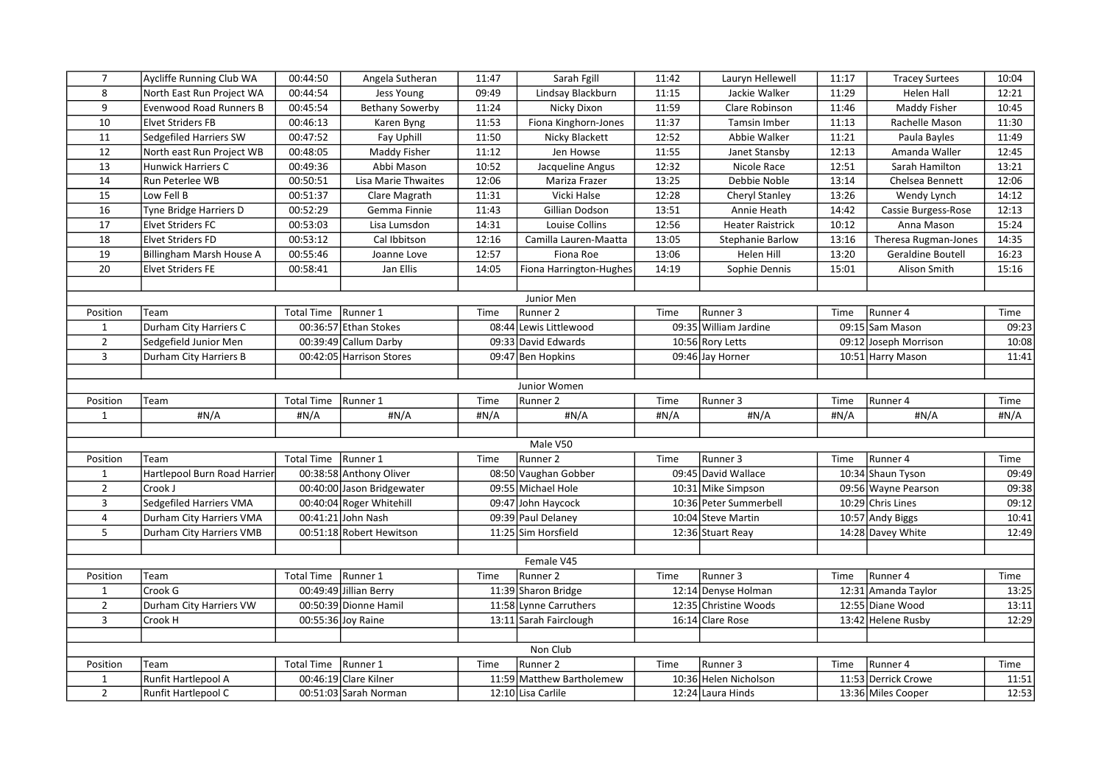| $\overline{7}$          | Aycliffe Running Club WA       | 00:44:50              | Angela Sutheran            | 11:47 | Sarah Fgill               | 11:42 | Lauryn Hellewell        | 11:17 | <b>Tracey Surtees</b> | 10:04 |
|-------------------------|--------------------------------|-----------------------|----------------------------|-------|---------------------------|-------|-------------------------|-------|-----------------------|-------|
| 8                       | North East Run Project WA      | 00:44:54              | Jess Young                 | 09:49 | Lindsay Blackburn         | 11:15 | Jackie Walker           | 11:29 | Helen Hall            | 12:21 |
| 9                       | <b>Evenwood Road Runners B</b> | 00:45:54              | <b>Bethany Sowerby</b>     | 11:24 | Nicky Dixon               | 11:59 | Clare Robinson          | 11:46 | Maddy Fisher          | 10:45 |
| 10                      | <b>Elvet Striders FB</b>       | 00:46:13              | Karen Byng                 | 11:53 | Fiona Kinghorn-Jones      | 11:37 | Tamsin Imber            | 11:13 | Rachelle Mason        | 11:30 |
| $11\,$                  | Sedgefiled Harriers SW         | 00:47:52              | Fay Uphill                 | 11:50 | Nicky Blackett            | 12:52 | Abbie Walker            | 11:21 | Paula Bayles          | 11:49 |
| 12                      | North east Run Project WB      | 00:48:05              | Maddy Fisher               | 11:12 | Jen Howse                 | 11:55 | Janet Stansby           | 12:13 | Amanda Waller         | 12:45 |
| 13                      | Hunwick Harriers C             | 00:49:36              | Abbi Mason                 | 10:52 | Jacqueline Angus          | 12:32 | Nicole Race             | 12:51 | Sarah Hamilton        | 13:21 |
| 14                      | Run Peterlee WB                | 00:50:51              | Lisa Marie Thwaites        | 12:06 | Mariza Frazer             | 13:25 | Debbie Noble            | 13:14 | Chelsea Bennett       | 12:06 |
| 15                      | Low Fell B                     | 00:51:37              | Clare Magrath              | 11:31 | Vicki Halse               | 12:28 | Cheryl Stanley          | 13:26 | Wendy Lynch           | 14:12 |
| 16                      | Tyne Bridge Harriers D         | 00:52:29              | Gemma Finnie               | 11:43 | Gillian Dodson            | 13:51 | Annie Heath             | 14:42 | Cassie Burgess-Rose   | 12:13 |
| 17                      | <b>Elvet Striders FC</b>       | 00:53:03              | Lisa Lumsdon               | 14:31 | Louise Collins            | 12:56 | <b>Heater Raistrick</b> | 10:12 | Anna Mason            | 15:24 |
| 18                      | <b>Elvet Striders FD</b>       | 00:53:12              | Cal Ibbitson               | 12:16 | Camilla Lauren-Maatta     | 13:05 | <b>Stephanie Barlow</b> | 13:16 | Theresa Rugman-Jones  | 14:35 |
| $\overline{19}$         | Billingham Marsh House A       | 00:55:46              | Joanne Love                | 12:57 | Fiona Roe                 | 13:06 | Helen Hill              | 13:20 | Geraldine Boutell     | 16:23 |
| 20                      | Elvet Striders FE              | 00:58:41              | Jan Ellis                  | 14:05 | Fiona Harrington-Hughes   | 14:19 | Sophie Dennis           | 15:01 | Alison Smith          | 15:16 |
|                         |                                |                       |                            |       |                           |       |                         |       |                       |       |
|                         |                                |                       |                            |       | Junior Men                |       |                         |       |                       |       |
| Position                | Team                           | <b>Total Time</b>     | Runner 1                   | Time  | Runner <sub>2</sub>       | Time  | Runner 3                | Time  | Runner 4              | Time  |
| $\mathbf{1}$            | Durham City Harriers C         |                       | 00:36:57 Ethan Stokes      |       | 08:44 Lewis Littlewood    |       | 09:35 William Jardine   |       | 09:15 Sam Mason       | 09:23 |
| $\overline{2}$          | Sedgefield Junior Men          |                       | 00:39:49 Callum Darby      |       | 09:33 David Edwards       |       | 10:56 Rory Letts        |       | 09:12 Joseph Morrison | 10:08 |
| $\overline{3}$          | Durham City Harriers B         |                       | 00:42:05 Harrison Stores   |       | 09:47 Ben Hopkins         |       | 09:46 Jay Horner        |       | 10:51 Harry Mason     | 11:41 |
|                         |                                |                       |                            |       |                           |       |                         |       |                       |       |
|                         |                                |                       |                            |       | Junior Women              |       |                         |       |                       |       |
| Position                | Team                           | <b>Total Time</b>     | Runner 1                   | Time  | Runner 2                  | Time  | Runner 3                | Time  | Runner 4              | Time  |
| $\mathbf{1}$            | #N/A                           | #N/A                  | #N/A                       | #N/A  | #N/A                      | #N/A  | #N/A                    | #N/A  | #N/A                  | #N/A  |
|                         |                                |                       |                            |       |                           |       |                         |       |                       |       |
|                         |                                |                       |                            |       | Male V50                  |       |                         |       |                       |       |
| Position                | Team                           | Total Time   Runner 1 |                            | Time  | Runner 2                  | Time  | Runner 3                | Time  | Runner 4              | Time  |
| $\mathbf{1}$            | Hartlepool Burn Road Harrier   |                       | 00:38:58 Anthony Oliver    |       | 08:50 Vaughan Gobber      |       | 09:45 David Wallace     |       | 10:34 Shaun Tyson     | 09:49 |
| $\overline{2}$          | Crook J                        |                       | 00:40:00 Jason Bridgewater |       | 09:55 Michael Hole        |       | 10:31 Mike Simpson      |       | 09:56 Wayne Pearson   | 09:38 |
| 3                       | Sedgefiled Harriers VMA        |                       | 00:40:04 Roger Whitehill   |       | 09:47 John Haycock        |       | 10:36 Peter Summerbell  |       | 10:29 Chris Lines     | 09:12 |
| $\overline{\mathbf{4}}$ | Durham City Harriers VMA       |                       | 00:41:21 John Nash         |       | 09:39 Paul Delaney        |       | 10:04 Steve Martin      |       | 10:57 Andy Biggs      | 10:41 |
| 5                       | Durham City Harriers VMB       |                       | 00:51:18 Robert Hewitson   |       | 11:25 Sim Horsfield       |       | 12:36 Stuart Reay       |       | 14:28 Davey White     | 12:49 |
|                         |                                |                       |                            |       |                           |       |                         |       |                       |       |
|                         |                                |                       |                            |       | Female V45                |       |                         |       |                       |       |
| Position                | Team                           | <b>Total Time</b>     | Runner 1                   | Time  | Runner <sub>2</sub>       | Time  | Runner 3                | Time  | Runner 4              | Time  |
| $\mathbf{1}$            | Crook G                        |                       | 00:49:49 Jillian Berry     |       | 11:39 Sharon Bridge       |       | 12:14 Denyse Holman     |       | 12:31 Amanda Taylor   | 13:25 |
| $\overline{2}$          | Durham City Harriers VW        |                       | 00:50:39 Dionne Hamil      |       | 11:58 Lynne Carruthers    |       | 12:35 Christine Woods   |       | 12:55 Diane Wood      | 13:11 |
| $\overline{3}$          | Crook H                        |                       | 00:55:36 Joy Raine         |       | 13:11 Sarah Fairclough    |       | 16:14 Clare Rose        |       | 13:42 Helene Rusby    | 12:29 |
|                         |                                |                       |                            |       |                           |       |                         |       |                       |       |
|                         |                                |                       |                            |       | Non Club                  |       |                         |       |                       |       |
| Position                | Team                           | <b>Total Time</b>     | Runner 1                   | Time  | Runner 2                  | Time  | Runner 3                | Time  | Runner 4              | Time  |
| $\mathbf{1}$            | Runfit Hartlepool A            |                       | 00:46:19 Clare Kilner      |       | 11:59 Matthew Bartholemew |       | 10:36 Helen Nicholson   |       | 11:53 Derrick Crowe   | 11:51 |
| $\overline{2}$          | Runfit Hartlepool C            |                       | 00:51:03 Sarah Norman      |       | 12:10 Lisa Carlile        |       | 12:24 Laura Hinds       |       | 13:36 Miles Cooper    | 12:53 |
|                         |                                |                       |                            |       |                           |       |                         |       |                       |       |